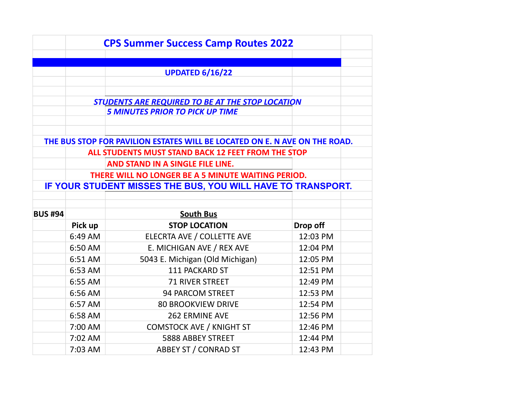|                |                                                         | <b>CPS Summer Success Camp Routes 2022</b>                                 |          |  |  |  |
|----------------|---------------------------------------------------------|----------------------------------------------------------------------------|----------|--|--|--|
|                |                                                         |                                                                            |          |  |  |  |
|                |                                                         | <b>UPDATED 6/16/22</b>                                                     |          |  |  |  |
|                |                                                         |                                                                            |          |  |  |  |
|                |                                                         |                                                                            |          |  |  |  |
|                | <b>STUDENTS ARE REQUIRED TO BE AT THE STOP LOCATION</b> |                                                                            |          |  |  |  |
|                |                                                         | <b>5 MINUTES PRIOR TO PICK UP TIME</b>                                     |          |  |  |  |
|                |                                                         |                                                                            |          |  |  |  |
|                |                                                         | THE BUS STOP FOR PAVILION ESTATES WILL BE LOCATED ON E. N AVE ON THE ROAD. |          |  |  |  |
|                |                                                         | ALL STUDENTS MUST STAND BACK 12 FEET FROM THE STOP                         |          |  |  |  |
|                |                                                         | AND STAND IN A SINGLE FILE LINE.                                           |          |  |  |  |
|                | THERE WILL NO LONGER BE A 5 MINUTE WAITING PERIOD.      |                                                                            |          |  |  |  |
|                |                                                         | IF YOUR STUDENT MISSES THE BUS, YOU WILL HAVE TO TRANSPORT.                |          |  |  |  |
|                |                                                         |                                                                            |          |  |  |  |
| <b>BUS #94</b> |                                                         | <b>South Bus</b>                                                           |          |  |  |  |
|                | Pick up                                                 | <b>STOP LOCATION</b>                                                       | Drop off |  |  |  |
|                | 6:49 AM                                                 | ELECRTA AVE / COLLETTE AVE                                                 | 12:03 PM |  |  |  |
|                | 6:50 AM                                                 | E. MICHIGAN AVE / REX AVE                                                  | 12:04 PM |  |  |  |
|                | 6:51 AM                                                 | 5043 E. Michigan (Old Michigan)                                            | 12:05 PM |  |  |  |
|                | 6:53 AM                                                 | 111 PACKARD ST                                                             | 12:51 PM |  |  |  |
|                | 6:55 AM                                                 | <b>71 RIVER STREET</b>                                                     | 12:49 PM |  |  |  |
|                | 6:56 AM                                                 | 94 PARCOM STREET                                                           | 12:53 PM |  |  |  |
|                | 6:57 AM                                                 | <b>80 BROOKVIEW DRIVE</b>                                                  | 12:54 PM |  |  |  |
|                | 6:58 AM                                                 | <b>262 ERMINE AVE</b>                                                      | 12:56 PM |  |  |  |
|                | 7:00 AM                                                 | <b>COMSTOCK AVE / KNIGHT ST</b>                                            | 12:46 PM |  |  |  |
|                | 7:02 AM                                                 | 5888 ABBEY STREET                                                          | 12:44 PM |  |  |  |
|                | 7:03 AM                                                 | ABBEY ST / CONRAD ST                                                       | 12:43 PM |  |  |  |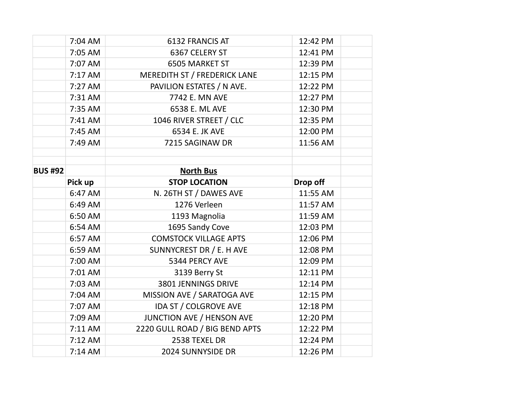|                | 7:04 AM | 6132 FRANCIS AT                     | 12:42 PM |  |
|----------------|---------|-------------------------------------|----------|--|
|                | 7:05 AM | 6367 CELERY ST                      | 12:41 PM |  |
|                | 7:07 AM | <b>6505 MARKET ST</b>               | 12:39 PM |  |
|                | 7:17 AM | <b>MEREDITH ST / FREDERICK LANE</b> | 12:15 PM |  |
|                | 7:27 AM | PAVILION ESTATES / N AVE.           | 12:22 PM |  |
|                | 7:31 AM | 7742 E. MN AVE                      | 12:27 PM |  |
|                | 7:35 AM | 6538 E. ML AVE                      | 12:30 PM |  |
|                | 7:41 AM | 1046 RIVER STREET / CLC             | 12:35 PM |  |
|                | 7:45 AM | 6534 E. JK AVE                      | 12:00 PM |  |
|                | 7:49 AM | 7215 SAGINAW DR                     | 11:56 AM |  |
|                |         |                                     |          |  |
| <b>BUS #92</b> |         |                                     |          |  |
|                |         | <b>North Bus</b>                    |          |  |
|                | Pick up | <b>STOP LOCATION</b>                | Drop off |  |
|                | 6:47 AM | N. 26TH ST / DAWES AVE              | 11:55 AM |  |
|                | 6:49 AM | 1276 Verleen                        | 11:57 AM |  |
|                | 6:50 AM | 1193 Magnolia                       | 11:59 AM |  |
|                | 6:54 AM | 1695 Sandy Cove                     | 12:03 PM |  |
|                | 6:57 AM | <b>COMSTOCK VILLAGE APTS</b>        | 12:06 PM |  |
|                | 6:59 AM | SUNNYCREST DR / E. H AVE            | 12:08 PM |  |
|                | 7:00 AM | 5344 PERCY AVE                      | 12:09 PM |  |
|                | 7:01 AM | 3139 Berry St                       | 12:11 PM |  |
|                | 7:03 AM | 3801 JENNINGS DRIVE                 | 12:14 PM |  |
|                | 7:04 AM | MISSION AVE / SARATOGA AVE          | 12:15 PM |  |
|                | 7:07 AM | IDA ST / COLGROVE AVE               | 12:18 PM |  |
|                | 7:09 AM | JUNCTION AVE / HENSON AVE           | 12:20 PM |  |
|                | 7:11 AM | 2220 GULL ROAD / BIG BEND APTS      | 12:22 PM |  |
|                | 7:12 AM | 2538 TEXEL DR                       | 12:24 PM |  |
|                | 7:14 AM | 2024 SUNNYSIDE DR                   | 12:26 PM |  |